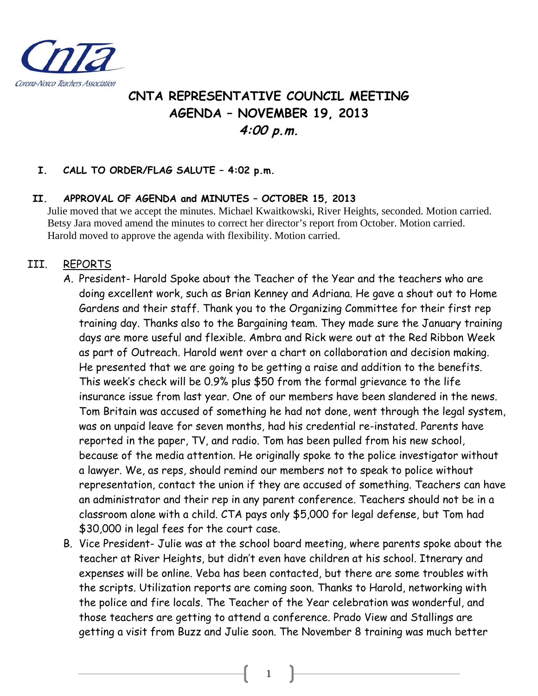

# **CNTA REPRESENTATIVE COUNCIL MEETING AGENDA – NOVEMBER 19, 2013 4:00 p.m.**

#### **I. CALL TO ORDER/FLAG SALUTE – 4:02 p.m.**

#### **II. APPROVAL OF AGENDA and MINUTES – OCTOBER 15, 2013**

Julie moved that we accept the minutes. Michael Kwaitkowski, River Heights, seconded. Motion carried. Betsy Jara moved amend the minutes to correct her director's report from October. Motion carried. Harold moved to approve the agenda with flexibility. Motion carried.

### III. REPORTS

- A. President- Harold Spoke about the Teacher of the Year and the teachers who are doing excellent work, such as Brian Kenney and Adriana. He gave a shout out to Home Gardens and their staff. Thank you to the Organizing Committee for their first rep training day. Thanks also to the Bargaining team. They made sure the January training days are more useful and flexible. Ambra and Rick were out at the Red Ribbon Week as part of Outreach. Harold went over a chart on collaboration and decision making. He presented that we are going to be getting a raise and addition to the benefits. This week's check will be 0.9% plus \$50 from the formal grievance to the life insurance issue from last year. One of our members have been slandered in the news. Tom Britain was accused of something he had not done, went through the legal system, was on unpaid leave for seven months, had his credential re-instated. Parents have reported in the paper, TV, and radio. Tom has been pulled from his new school, because of the media attention. He originally spoke to the police investigator without a lawyer. We, as reps, should remind our members not to speak to police without representation, contact the union if they are accused of something. Teachers can have an administrator and their rep in any parent conference. Teachers should not be in a classroom alone with a child. CTA pays only \$5,000 for legal defense, but Tom had \$30,000 in legal fees for the court case.
- B. Vice President- Julie was at the school board meeting, where parents spoke about the teacher at River Heights, but didn't even have children at his school. Itnerary and expenses will be online. Veba has been contacted, but there are some troubles with the scripts. Utilization reports are coming soon. Thanks to Harold, networking with the police and fire locals. The Teacher of the Year celebration was wonderful, and those teachers are getting to attend a conference. Prado View and Stallings are getting a visit from Buzz and Julie soon. The November 8 training was much better

1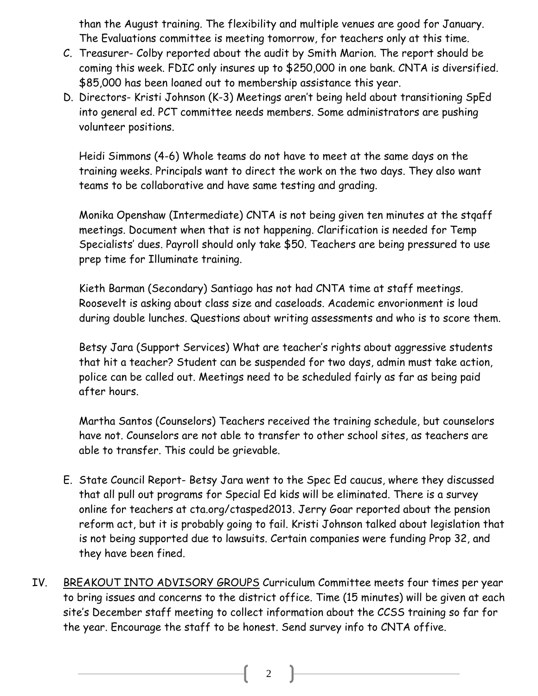than the August training. The flexibility and multiple venues are good for January. The Evaluations committee is meeting tomorrow, for teachers only at this time.

- C. Treasurer- Colby reported about the audit by Smith Marion. The report should be coming this week. FDIC only insures up to \$250,000 in one bank. CNTA is diversified. \$85,000 has been loaned out to membership assistance this year.
- D. Directors- Kristi Johnson (K-3) Meetings aren't being held about transitioning SpEd into general ed. PCT committee needs members. Some administrators are pushing volunteer positions.

Heidi Simmons (4-6) Whole teams do not have to meet at the same days on the training weeks. Principals want to direct the work on the two days. They also want teams to be collaborative and have same testing and grading.

Monika Openshaw (Intermediate) CNTA is not being given ten minutes at the stqaff meetings. Document when that is not happening. Clarification is needed for Temp Specialists' dues. Payroll should only take \$50. Teachers are being pressured to use prep time for Illuminate training.

Kieth Barman (Secondary) Santiago has not had CNTA time at staff meetings. Roosevelt is asking about class size and caseloads. Academic envorionment is loud during double lunches. Questions about writing assessments and who is to score them.

Betsy Jara (Support Services) What are teacher's rights about aggressive students that hit a teacher? Student can be suspended for two days, admin must take action, police can be called out. Meetings need to be scheduled fairly as far as being paid after hours.

Martha Santos (Counselors) Teachers received the training schedule, but counselors have not. Counselors are not able to transfer to other school sites, as teachers are able to transfer. This could be grievable.

- E. State Council Report- Betsy Jara went to the Spec Ed caucus, where they discussed that all pull out programs for Special Ed kids will be eliminated. There is a survey online for teachers at cta.org/ctasped2013. Jerry Goar reported about the pension reform act, but it is probably going to fail. Kristi Johnson talked about legislation that is not being supported due to lawsuits. Certain companies were funding Prop 32, and they have been fined.
- IV. BREAKOUT INTO ADVISORY GROUPS Curriculum Committee meets four times per year to bring issues and concerns to the district office. Time (15 minutes) will be given at each site's December staff meeting to collect information about the CCSS training so far for the year. Encourage the staff to be honest. Send survey info to CNTA offive.

2